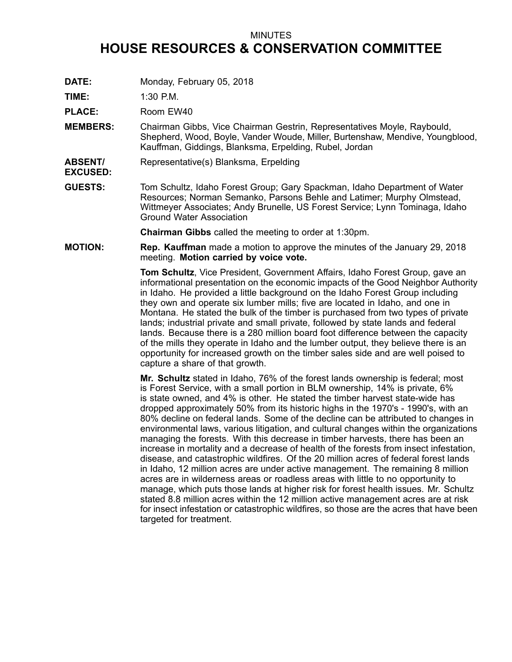## MINUTES

## **HOUSE RESOURCES & CONSERVATION COMMITTEE**

**DATE:** Monday, February 05, 2018

**TIME:** 1:30 P.M.

PLACE: Room EW40

- **MEMBERS:** Chairman Gibbs, Vice Chairman Gestrin, Representatives Moyle, Raybould, Shepherd, Wood, Boyle, Vander Woude, Miller, Burtenshaw, Mendive, Youngblood, Kauffman, Giddings, Blanksma, Erpelding, Rubel, Jordan
- **ABSENT/ EXCUSED:** Representative(s) Blanksma, Erpelding
- **GUESTS:** Tom Schultz, Idaho Forest Group; Gary Spackman, Idaho Department of Water Resources; Norman Semanko, Parsons Behle and Latimer; Murphy Olmstead, Wittmeyer Associates; Andy Brunelle, US Forest Service; Lynn Tominaga, Idaho Ground Water Association

**Chairman Gibbs** called the meeting to order at 1:30pm.

**MOTION: Rep. Kauffman** made <sup>a</sup> motion to approve the minutes of the January 29, 2018 meeting. **Motion carried by voice vote.**

> **Tom Schultz**, Vice President, Government Affairs, Idaho Forest Group, gave an informational presentation on the economic impacts of the Good Neighbor Authority in Idaho. He provided <sup>a</sup> little background on the Idaho Forest Group including they own and operate six lumber mills; five are located in Idaho, and one in Montana. He stated the bulk of the timber is purchased from two types of private lands; industrial private and small private, followed by state lands and federal lands. Because there is <sup>a</sup> 280 million board foot difference between the capacity of the mills they operate in Idaho and the lumber output, they believe there is an opportunity for increased growth on the timber sales side and are well poised to capture <sup>a</sup> share of that growth.

> **Mr. Schultz** stated in Idaho, 76% of the forest lands ownership is federal; most is Forest Service, with <sup>a</sup> small portion in BLM ownership, 14% is private, 6% is state owned, and 4% is other. He stated the timber harvest state-wide has dropped approximately 50% from its historic highs in the 1970's - 1990's, with an 80% decline on federal lands. Some of the decline can be attributed to changes in environmental laws, various litigation, and cultural changes within the organizations managing the forests. With this decrease in timber harvests, there has been an increase in mortality and <sup>a</sup> decrease of health of the forests from insect infestation, disease, and catastrophic wildfires. Of the 20 million acres of federal forest lands in Idaho, 12 million acres are under active management. The remaining 8 million acres are in wilderness areas or roadless areas with little to no opportunity to manage, which puts those lands at higher risk for forest health issues. Mr. Schultz stated 8.8 million acres within the 12 million active management acres are at risk for insect infestation or catastrophic wildfires, so those are the acres that have been targeted for treatment.